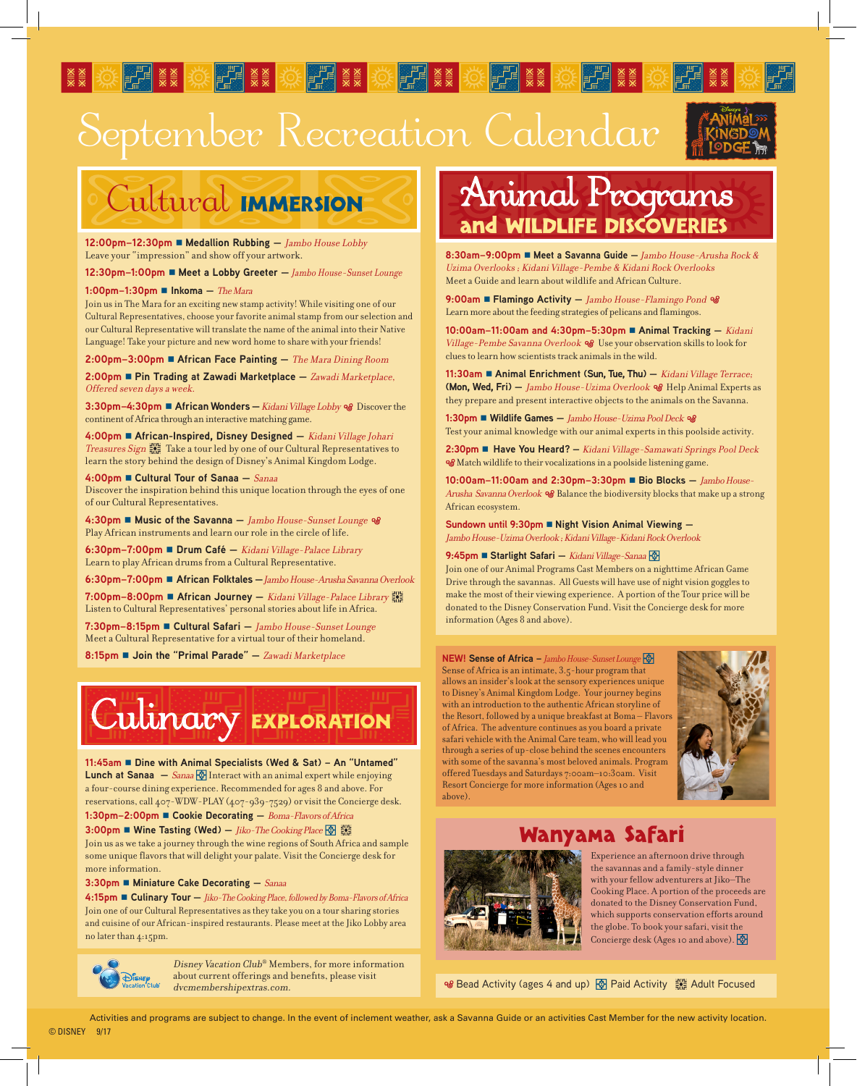# September Recreation Calendar





**SEAR AND REAL REACTION** 

**12:00pm–12:30pm Medallion Rubbing —** Jambo House Lobby Leave your "impression" and show off your artwork.

**12:30pm-1:00pm ■ Meet a Lobby Greeter** - Jambo House-Sunset Lounge

#### **1:00pm-1:30pm ■ Inkoma** – *The Mara*

Join us in The Mara for an exciting new stamp activity! While visiting one of our Cultural Representatives, choose your favorite animal stamp from our selection and our Cultural Representative will translate the name of the animal into their Native Language! Take your picture and new word home to share with your friends!

**2:00pm–3:00pm African Face Painting —** The Mara Dining Room

**2:00pm Pin Trading at Zawadi Marketplace —** Zawadi Marketplace, Offered seven days a week.

**3:30pm–4:30pm ■ African Wonders** — *Kidani Village Lobby* % Discover the continent of Africa through an interactive matching game.

**4:00pm African-Inspired, Disney Designed —** Kidani Village Johari Treasures Sign  $\frac{200}{500}$  Take a tour led by one of our Cultural Representatives to learn the story behind the design of Disney's Animal Kingdom Lodge.

### **4:00pm Cultural Tour of Sanaa —** Sanaa

Discover the inspiration behind this unique location through the eyes of one of our Cultural Representatives.

4:30pm ■ Music of the Savanna - *Jambo House-Sunset Lounge* % Play African instruments and learn our role in the circle of life.

**6:30pm–7:00pm Drum Café —** Kidani Village-Palace Library Learn to play African drums from a Cultural Representative.

**6:30pm–7:00pm African Folktales —** Jambo House-Arusha Savanna Overlook

**7:00pm–8:00pm African Journey —** Kidani Village-Palace Library � Listen to Cultural Representatives' personal stories about life in Africa.

**7:30pm–8:15pm Cultural Safari —** Jambo House-Sunset Lounge Meet a Cultural Representative for a virtual tour of their homeland.

**8:15pm Join the "Primal Parade" —** Zawadi Marketplace



**11:45am Dine with Animal Specialists (Wed & Sat) – An "Untamed" Lunch at Sanaa**  $-$  *Sanaa*  $\circledast$  Interact with an animal expert while enjoying a four-course dining experience. Recommended for ages 8 and above. For reservations, call 407-WDW-PLAY (407-939-7529) or visit the Concierge desk.

## **1:30pm–2:00pm Cookie Decorating —** Boma-Flavors of Africa

**3:00pm** ■ Wine Tasting (Wed) — *Jiko-The Cooking Place*  $\circledR$ Join us as we take a journey through the wine regions of South Africa and sample some unique flavors that will delight your palate. Visit the Concierge desk for more information.

**3:30pm Miniature Cake Decorating —** Sanaa

**4:15pm Culinary Tour —** Jiko-The Cooking Place, followed by Boma-Flavors of Africa Join one of our Cultural Representatives as they take you on a tour sharing stories and cuisine of our African-inspired restaurants. Please meet at the Jiko Lobby area no later than 4:15pm.



Disney Vacation Club® Members, for more information about current offerings and benefits, please visit dvcmembershipextras.com.

# Animal Programs and WILDLIFE DISCOVERIES

**8:30am–9:00pm Meet a Savanna Guide —** Jambo House-Arusha Rock & Uzima Overlooks ; Kidani Village-Pembe & Kidani Rock Overlooks Meet a Guide and learn about wildlife and African Culture.

9:00am ■ Flamingo Activity - Jambo House-Flamingo Pond % Learn more about the feeding strategies of pelicans and flamingos.

**10:00am–11:00am and 4:30pm–5:30pm Animal Tracking —** Kidani Village-Pembe Savanna Overlook & Use your observation skills to look for clues to learn how scientists track animals in the wild.

**11:30am ■ Animal Enrichment (Sun, Tue, Thu)** - Kidani Village Terrace; **(Mon, Wed, Fri)** - *Jambo House-Uzima Overlook %* Help Animal Experts as they prepare and present interactive objects to the animals on the Savanna.

1:30pm ■ Wildlife Games - *Jambo House-Uzima Pool Deck* % Test your animal knowledge with our animal experts in this poolside activity.

**2:30pm ■ Have You Heard?** - *Kidani Village-Samawati Springs Pool Deck* Match wildlife to their vocalizations in a poolside listening game.

**10:00am-11:00am and 2:30pm-3:30pm ■ Bio Blocks - Jambo House-**Arusha Savanna Overlook & Balance the biodiversity blocks that make up a strong African ecosystem.

**Sundown until 9:30pm ■ Night Vision Animal Viewing –** Jambo House-Uzima Overlook ; Kidani Village-Kidani Rock Overlook

### **9:45pm ■ Starlight Safari** — Kidani Village-Sanaa

Join one of our Animal Programs Cast Members on a nighttime African Game Drive through the savannas. All Guests will have use of night vision goggles to make the most of their viewing experience. A portion of the Tour price will be donated to the Disney Conservation Fund. Visit the Concierge desk for more information (Ages 8 and above).

#### **NEW! Sense of Africa** – Jambo House-Sunset Lounge

Sense of Africa is an intimate, 3.5-hour program that allows an insider's look at the sensory experiences unique to Disney's Animal Kingdom Lodge. Your journey begins with an introduction to the authentic African storyline of the Resort, followed by a unique breakfast at Boma – Flavors of Africa. The adventure continues as you board a private safari vehicle with the Animal Care team, who will lead you through a series of up-close behind the scenes encounters with some of the savanna's most beloved animals. Program offered Tuesdays and Saturdays 7:00am–10:30am. Visit Resort Concierge for more information (Ages 10 and above).



# 'anyama Safari



Experience an afternoon drive through the savannas and a family-style dinner with your fellow adventurers at Jiko–The Cooking Place. A portion of the proceeds are donated to the Disney Conservation Fund, which supports conservation efforts around the globe. To book your safari, visit the Concierge desk (Ages 10 and above).

<sup>og</sup> Bead Activity (ages 4 and up) **M** Paid Activity  $\frac{100}{200}$  Adult Focused